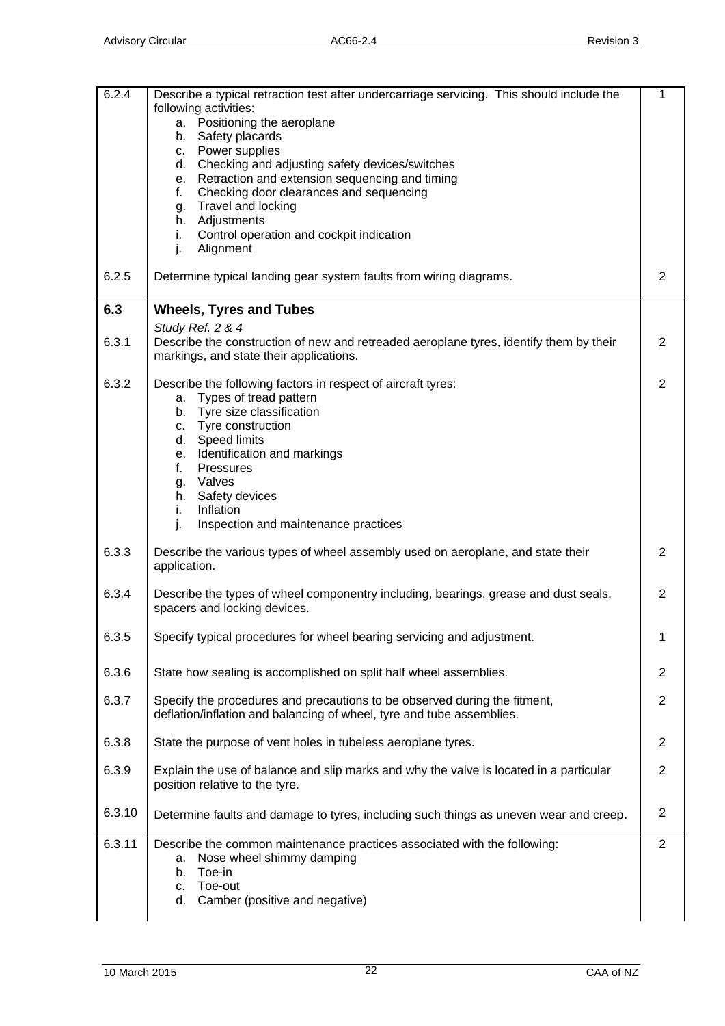| 6.2.4  | Describe a typical retraction test after undercarriage servicing. This should include the                                                          | 1              |
|--------|----------------------------------------------------------------------------------------------------------------------------------------------------|----------------|
|        | following activities:                                                                                                                              |                |
|        | a. Positioning the aeroplane<br>b. Safety placards                                                                                                 |                |
|        | c. Power supplies                                                                                                                                  |                |
|        | d. Checking and adjusting safety devices/switches                                                                                                  |                |
|        | e. Retraction and extension sequencing and timing                                                                                                  |                |
|        | Checking door clearances and sequencing<br>f.                                                                                                      |                |
|        | g. Travel and locking                                                                                                                              |                |
|        | h. Adjustments                                                                                                                                     |                |
|        | Control operation and cockpit indication<br>i.<br>Alignment<br>j.                                                                                  |                |
| 6.2.5  | Determine typical landing gear system faults from wiring diagrams.                                                                                 | $\overline{2}$ |
| 6.3    | <b>Wheels, Tyres and Tubes</b>                                                                                                                     |                |
|        | Study Ref. 2 & 4                                                                                                                                   |                |
| 6.3.1  | Describe the construction of new and retreaded aeroplane tyres, identify them by their<br>markings, and state their applications.                  | $\overline{2}$ |
| 6.3.2  | Describe the following factors in respect of aircraft tyres:                                                                                       | $\overline{2}$ |
|        | a. Types of tread pattern                                                                                                                          |                |
|        | b. Tyre size classification                                                                                                                        |                |
|        | c. Tyre construction                                                                                                                               |                |
|        | d. Speed limits<br>e. Identification and markings                                                                                                  |                |
|        | Pressures<br>f.                                                                                                                                    |                |
|        | g. Valves                                                                                                                                          |                |
|        | h. Safety devices                                                                                                                                  |                |
|        | Inflation<br>i.                                                                                                                                    |                |
|        | j.<br>Inspection and maintenance practices                                                                                                         |                |
| 6.3.3  | Describe the various types of wheel assembly used on aeroplane, and state their<br>application.                                                    | $\overline{2}$ |
| 6.3.4  | Describe the types of wheel componentry including, bearings, grease and dust seals,<br>spacers and locking devices.                                | $\overline{2}$ |
| 6.3.5  | Specify typical procedures for wheel bearing servicing and adjustment.                                                                             | 1              |
| 6.3.6  | State how sealing is accomplished on split half wheel assemblies.                                                                                  | $\overline{2}$ |
| 6.3.7  | Specify the procedures and precautions to be observed during the fitment,<br>deflation/inflation and balancing of wheel, tyre and tube assemblies. | $\overline{2}$ |
| 6.3.8  | State the purpose of vent holes in tubeless aeroplane tyres.                                                                                       | $\overline{2}$ |
| 6.3.9  | Explain the use of balance and slip marks and why the valve is located in a particular                                                             | $\overline{2}$ |
|        | position relative to the tyre.                                                                                                                     |                |
| 6.3.10 | Determine faults and damage to tyres, including such things as uneven wear and creep.                                                              | $\overline{2}$ |
| 6.3.11 | Describe the common maintenance practices associated with the following:                                                                           | $\overline{2}$ |
|        | Nose wheel shimmy damping<br>а.<br>Toe-in<br>b.                                                                                                    |                |
|        | Toe-out<br>C.                                                                                                                                      |                |
|        | Camber (positive and negative)<br>d.                                                                                                               |                |
|        |                                                                                                                                                    |                |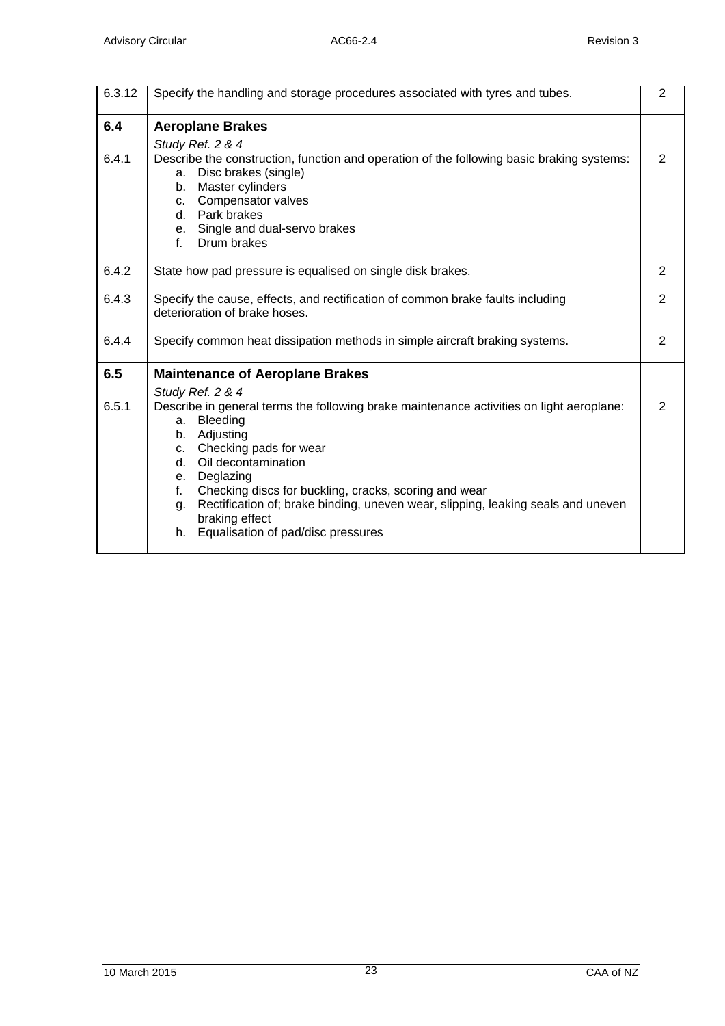| 6.3.12       | Specify the handling and storage procedures associated with tyres and tubes.                                                                                                                                                                                                               | $\overline{2}$ |
|--------------|--------------------------------------------------------------------------------------------------------------------------------------------------------------------------------------------------------------------------------------------------------------------------------------------|----------------|
| 6.4<br>6.4.1 | <b>Aeroplane Brakes</b><br>Study Ref. 2 & 4<br>Describe the construction, function and operation of the following basic braking systems:                                                                                                                                                   | 2              |
|              | Disc brakes (single)<br>a.<br>Master cylinders<br>b.<br>c. Compensator valves<br>d. Park brakes<br>e. Single and dual-servo brakes<br>f.<br>Drum brakes                                                                                                                                    |                |
| 6.4.2        | State how pad pressure is equalised on single disk brakes.                                                                                                                                                                                                                                 | 2              |
| 6.4.3        | Specify the cause, effects, and rectification of common brake faults including<br>deterioration of brake hoses.                                                                                                                                                                            | $\overline{2}$ |
| 6.4.4        | Specify common heat dissipation methods in simple aircraft braking systems.                                                                                                                                                                                                                | 2              |
| 6.5          | <b>Maintenance of Aeroplane Brakes</b>                                                                                                                                                                                                                                                     |                |
| 6.5.1        | Study Ref. 2 & 4<br>Describe in general terms the following brake maintenance activities on light aeroplane:<br>Bleeding<br>a.<br>Adjusting<br>b.<br>c. Checking pads for wear<br>Oil decontamination<br>d.<br>e. Deglazing<br>Checking discs for buckling, cracks, scoring and wear<br>f. | 2              |
|              | Rectification of; brake binding, uneven wear, slipping, leaking seals and uneven<br>g.<br>braking effect<br>Equalisation of pad/disc pressures<br>h.                                                                                                                                       |                |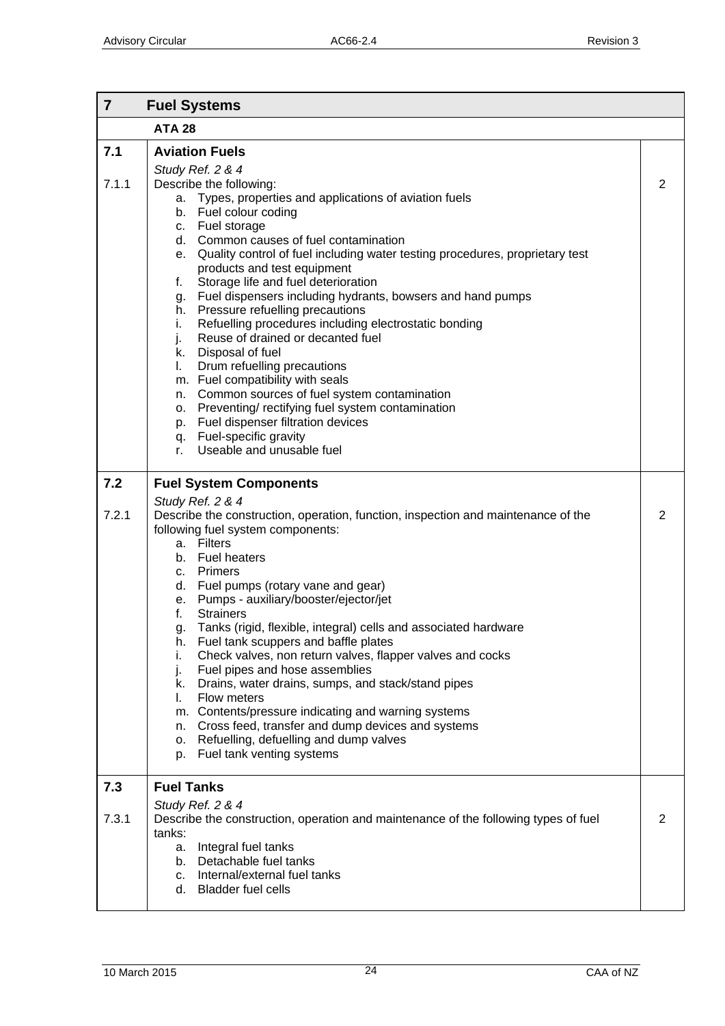| $\overline{7}$ | <b>Fuel Systems</b>                                                                                                                                                                                                                                                                                                                                                                                                                                                                                                                                                                                                                                                                                                                                                                                                                                                                                  |                |
|----------------|------------------------------------------------------------------------------------------------------------------------------------------------------------------------------------------------------------------------------------------------------------------------------------------------------------------------------------------------------------------------------------------------------------------------------------------------------------------------------------------------------------------------------------------------------------------------------------------------------------------------------------------------------------------------------------------------------------------------------------------------------------------------------------------------------------------------------------------------------------------------------------------------------|----------------|
|                | <b>ATA 28</b>                                                                                                                                                                                                                                                                                                                                                                                                                                                                                                                                                                                                                                                                                                                                                                                                                                                                                        |                |
| 7.1            | <b>Aviation Fuels</b>                                                                                                                                                                                                                                                                                                                                                                                                                                                                                                                                                                                                                                                                                                                                                                                                                                                                                |                |
| 7.1.1          | Study Ref. 2 & 4<br>Describe the following:<br>Types, properties and applications of aviation fuels<br>а.<br>b. Fuel colour coding<br>c. Fuel storage<br>d. Common causes of fuel contamination<br>e. Quality control of fuel including water testing procedures, proprietary test<br>products and test equipment<br>Storage life and fuel deterioration<br>f.<br>g. Fuel dispensers including hydrants, bowsers and hand pumps<br>h. Pressure refuelling precautions<br>Refuelling procedures including electrostatic bonding<br>i.<br>Reuse of drained or decanted fuel<br>j.<br>k. Disposal of fuel<br>Drum refuelling precautions<br>L.<br>m. Fuel compatibility with seals<br>Common sources of fuel system contamination<br>n.<br>o. Preventing/rectifying fuel system contamination<br>Fuel dispenser filtration devices<br>p.<br>q. Fuel-specific gravity<br>Useable and unusable fuel<br>r. | 2              |
| 7.2            | <b>Fuel System Components</b>                                                                                                                                                                                                                                                                                                                                                                                                                                                                                                                                                                                                                                                                                                                                                                                                                                                                        |                |
| 7.2.1          | Study Ref. 2 & 4<br>Describe the construction, operation, function, inspection and maintenance of the<br>following fuel system components:<br>a. Filters<br>b. Fuel heaters<br>c. Primers<br>d. Fuel pumps (rotary vane and gear)<br>e. Pumps - auxiliary/booster/ejector/jet<br><b>Strainers</b><br>f.<br>Tanks (rigid, flexible, integral) cells and associated hardware<br>q.<br>Fuel tank scuppers and baffle plates<br>h.<br>Check valves, non return valves, flapper valves and cocks<br>i.<br>Fuel pipes and hose assemblies<br>j.<br>Drains, water drains, sumps, and stack/stand pipes<br>k.<br>Flow meters<br>I.<br>m. Contents/pressure indicating and warning systems<br>Cross feed, transfer and dump devices and systems<br>n.<br>Refuelling, defuelling and dump valves<br>0.<br>Fuel tank venting systems<br>p.                                                                      | $\overline{2}$ |
| 7.3<br>7.3.1   | <b>Fuel Tanks</b><br>Study Ref. 2 & 4<br>Describe the construction, operation and maintenance of the following types of fuel<br>tanks:<br>Integral fuel tanks<br>a.<br>b. Detachable fuel tanks<br>c. Internal/external fuel tanks                                                                                                                                                                                                                                                                                                                                                                                                                                                                                                                                                                                                                                                                   | 2              |
|                | d. Bladder fuel cells                                                                                                                                                                                                                                                                                                                                                                                                                                                                                                                                                                                                                                                                                                                                                                                                                                                                                |                |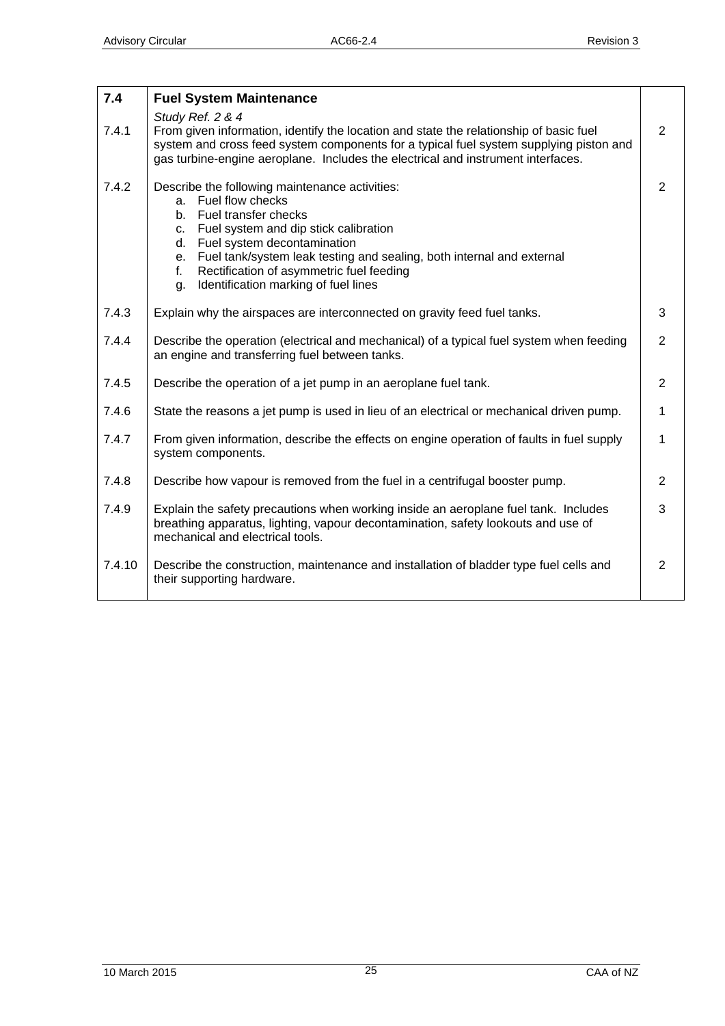| 7.4    | <b>Fuel System Maintenance</b>                                                                                                                                                                                                                                                                                                                                         |                |
|--------|------------------------------------------------------------------------------------------------------------------------------------------------------------------------------------------------------------------------------------------------------------------------------------------------------------------------------------------------------------------------|----------------|
| 7.4.1  | Study Ref. 2 & 4<br>From given information, identify the location and state the relationship of basic fuel<br>system and cross feed system components for a typical fuel system supplying piston and<br>gas turbine-engine aeroplane. Includes the electrical and instrument interfaces.                                                                               | 2              |
| 7.4.2  | Describe the following maintenance activities:<br>Fuel flow checks<br>a.<br>b. Fuel transfer checks<br>Fuel system and dip stick calibration<br>C.<br>Fuel system decontamination<br>d.<br>Fuel tank/system leak testing and sealing, both internal and external<br>e.<br>Rectification of asymmetric fuel feeding<br>f.<br>Identification marking of fuel lines<br>g. | $\overline{2}$ |
| 7.4.3  | Explain why the airspaces are interconnected on gravity feed fuel tanks.                                                                                                                                                                                                                                                                                               | 3              |
| 7.4.4  | Describe the operation (electrical and mechanical) of a typical fuel system when feeding<br>an engine and transferring fuel between tanks.                                                                                                                                                                                                                             | 2              |
| 7.4.5  | Describe the operation of a jet pump in an aeroplane fuel tank.                                                                                                                                                                                                                                                                                                        | $\overline{2}$ |
| 7.4.6  | State the reasons a jet pump is used in lieu of an electrical or mechanical driven pump.                                                                                                                                                                                                                                                                               | 1              |
| 7.4.7  | From given information, describe the effects on engine operation of faults in fuel supply<br>system components.                                                                                                                                                                                                                                                        | 1              |
| 7.4.8  | Describe how vapour is removed from the fuel in a centrifugal booster pump.                                                                                                                                                                                                                                                                                            | $\overline{2}$ |
| 7.4.9  | Explain the safety precautions when working inside an aeroplane fuel tank. Includes<br>breathing apparatus, lighting, vapour decontamination, safety lookouts and use of<br>mechanical and electrical tools.                                                                                                                                                           | 3              |
| 7.4.10 | Describe the construction, maintenance and installation of bladder type fuel cells and<br>their supporting hardware.                                                                                                                                                                                                                                                   | $\overline{2}$ |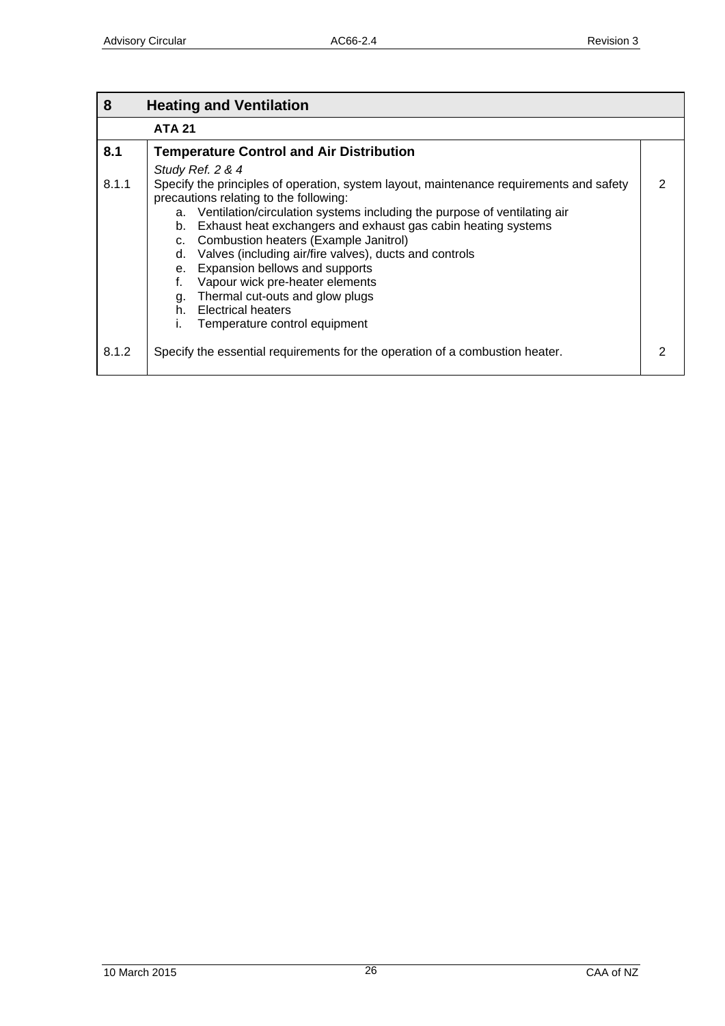| 8     | <b>Heating and Ventilation</b>                                                                                                    |   |
|-------|-----------------------------------------------------------------------------------------------------------------------------------|---|
|       | <b>ATA 21</b>                                                                                                                     |   |
| 8.1   | <b>Temperature Control and Air Distribution</b>                                                                                   |   |
|       | Study Ref. 2 & 4                                                                                                                  |   |
| 8.1.1 | Specify the principles of operation, system layout, maintenance requirements and safety<br>precautions relating to the following: | 2 |
|       | a. Ventilation/circulation systems including the purpose of ventilating air                                                       |   |
|       | Exhaust heat exchangers and exhaust gas cabin heating systems<br>b.                                                               |   |
|       | Combustion heaters (Example Janitrol)<br>C.                                                                                       |   |
|       | Valves (including air/fire valves), ducts and controls<br>d.                                                                      |   |
|       | e. Expansion bellows and supports                                                                                                 |   |
|       | Vapour wick pre-heater elements                                                                                                   |   |
|       | Thermal cut-outs and glow plugs<br>g.                                                                                             |   |
|       | h. Electrical heaters                                                                                                             |   |
|       | Temperature control equipment<br>ı.                                                                                               |   |
| 8.1.2 | Specify the essential requirements for the operation of a combustion heater.                                                      | 2 |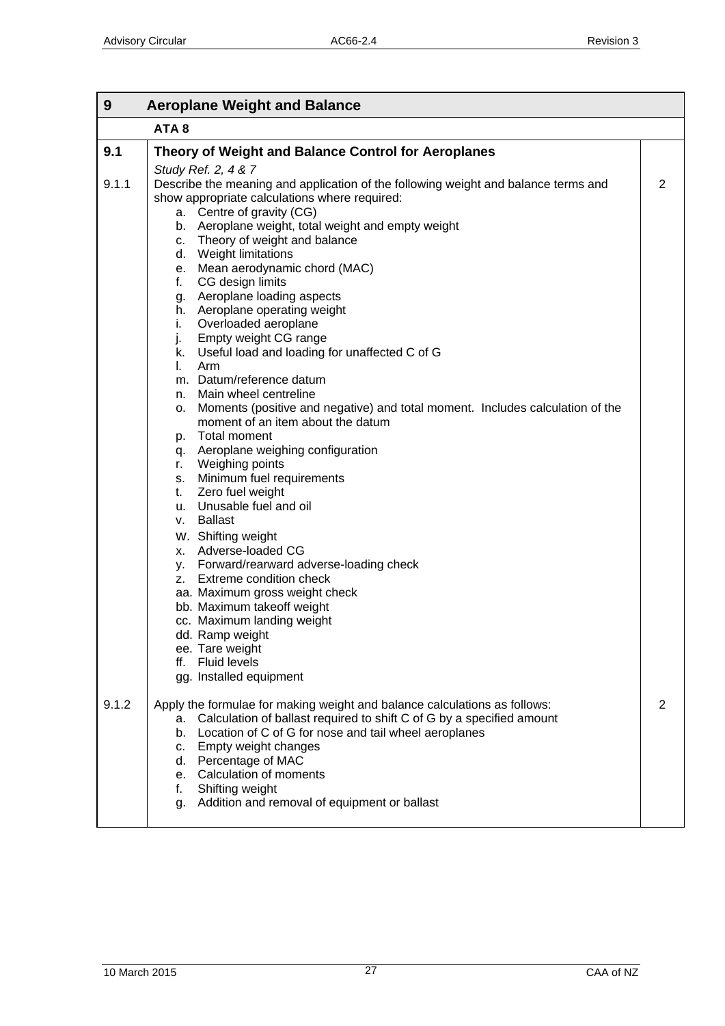r

 $\blacksquare$ 

| 9     | <b>Aeroplane Weight and Balance</b>                                                                                                                                                                                                                                                                                                                                                                                                                                                                                                                                                                                                                                                                  |   |
|-------|------------------------------------------------------------------------------------------------------------------------------------------------------------------------------------------------------------------------------------------------------------------------------------------------------------------------------------------------------------------------------------------------------------------------------------------------------------------------------------------------------------------------------------------------------------------------------------------------------------------------------------------------------------------------------------------------------|---|
|       | ATA <sub>8</sub>                                                                                                                                                                                                                                                                                                                                                                                                                                                                                                                                                                                                                                                                                     |   |
| 9.1   | Theory of Weight and Balance Control for Aeroplanes                                                                                                                                                                                                                                                                                                                                                                                                                                                                                                                                                                                                                                                  |   |
| 9.1.1 | Study Ref. 2, 4 & 7<br>Describe the meaning and application of the following weight and balance terms and<br>show appropriate calculations where required:<br>a. Centre of gravity (CG)<br>b. Aeroplane weight, total weight and empty weight<br>c. Theory of weight and balance<br>d. Weight limitations                                                                                                                                                                                                                                                                                                                                                                                            | 2 |
|       | e. Mean aerodynamic chord (MAC)<br>CG design limits<br>f.<br>g. Aeroplane loading aspects<br>h. Aeroplane operating weight<br>i.<br>Overloaded aeroplane<br>Empty weight CG range<br>j.<br>k. Useful load and loading for unaffected C of G<br>Arm<br>L.                                                                                                                                                                                                                                                                                                                                                                                                                                             |   |
|       | m. Datum/reference datum<br>n. Main wheel centreline<br>Moments (positive and negative) and total moment. Includes calculation of the<br>0.<br>moment of an item about the datum<br>p. Total moment<br>q. Aeroplane weighing configuration<br>r. Weighing points<br>s. Minimum fuel requirements<br>Zero fuel weight<br>t.<br>u. Unusable fuel and oil<br><b>Ballast</b><br>V.<br>W. Shifting weight<br>x. Adverse-loaded CG<br>y. Forward/rearward adverse-loading check<br>z. Extreme condition check<br>aa. Maximum gross weight check<br>bb. Maximum takeoff weight<br>cc. Maximum landing weight<br>dd. Ramp weight<br>ee. Tare weight<br><b>Fluid levels</b><br>ff.<br>gg. Installed equipment |   |
| 9.1.2 | Apply the formulae for making weight and balance calculations as follows:<br>a. Calculation of ballast required to shift C of G by a specified amount<br>b. Location of C of G for nose and tail wheel aeroplanes<br>c. Empty weight changes<br>d. Percentage of MAC<br>e. Calculation of moments<br>f.<br>Shifting weight<br>g. Addition and removal of equipment or ballast                                                                                                                                                                                                                                                                                                                        | 2 |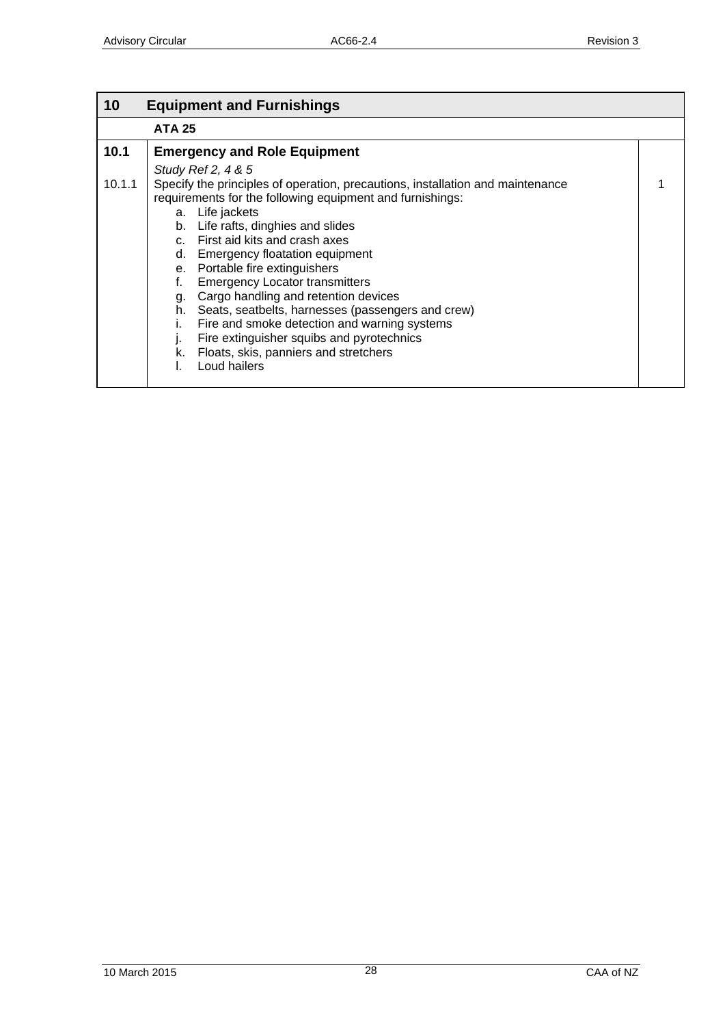| 10     | <b>Equipment and Furnishings</b>                                                                                                                                                                                                                                                                                                                                                                                                                                                                                                                                                                                                                             |  |
|--------|--------------------------------------------------------------------------------------------------------------------------------------------------------------------------------------------------------------------------------------------------------------------------------------------------------------------------------------------------------------------------------------------------------------------------------------------------------------------------------------------------------------------------------------------------------------------------------------------------------------------------------------------------------------|--|
|        | <b>ATA 25</b>                                                                                                                                                                                                                                                                                                                                                                                                                                                                                                                                                                                                                                                |  |
| 10.1   | <b>Emergency and Role Equipment</b>                                                                                                                                                                                                                                                                                                                                                                                                                                                                                                                                                                                                                          |  |
| 10.1.1 | Study Ref 2, 4 & 5<br>Specify the principles of operation, precautions, installation and maintenance<br>requirements for the following equipment and furnishings:<br>a. Life jackets<br>b. Life rafts, dinghies and slides<br>c. First aid kits and crash axes<br>d. Emergency floatation equipment<br>e. Portable fire extinguishers<br><b>Emergency Locator transmitters</b><br>f.<br>Cargo handling and retention devices<br>g.<br>Seats, seatbelts, harnesses (passengers and crew)<br>h.<br>Fire and smoke detection and warning systems<br>Fire extinguisher squibs and pyrotechnics<br>J.<br>k. Floats, skis, panniers and stretchers<br>Loud hailers |  |